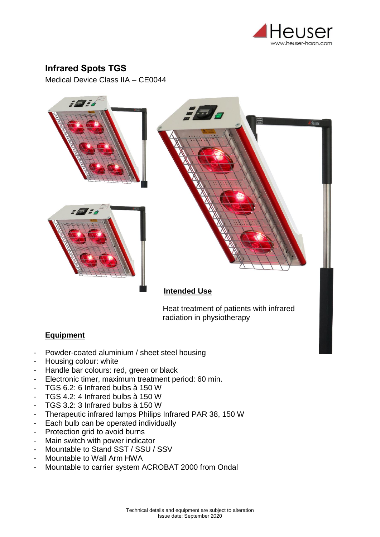

## **Infrared Spots TGS**

Medical Device Class IIA – CE0044



Heat treatment of patients with infrared radiation in physiotherapy

## **Equipment**

- Powder-coated aluminium / sheet steel housing
- Housing colour: white
- Handle bar colours: red, green or black
- Electronic timer, maximum treatment period: 60 min.
- TGS 6.2: 6 Infrared bulbs à 150 W
- TGS 4.2: 4 Infrared bulbs à 150 W
- TGS 3.2: 3 Infrared bulbs à 150 W
- Therapeutic infrared lamps Philips Infrared PAR 38, 150 W
- Each bulb can be operated individually
- Protection grid to avoid burns
- Main switch with power indicator
- Mountable to Stand SST / SSU / SSV
- Mountable to Wall Arm HWA
- Mountable to carrier system ACROBAT 2000 from Ondal